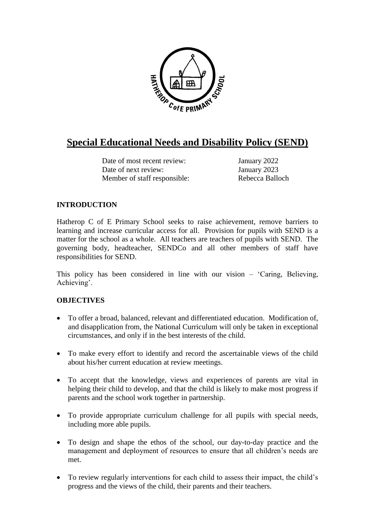

# **Special Educational Needs and Disability Policy (SEND)**

Date of most recent review: January 2022 Date of next review: January 2023 Member of staff responsible: Rebecca Balloch

# **INTRODUCTION**

Hatherop C of E Primary School seeks to raise achievement, remove barriers to learning and increase curricular access for all. Provision for pupils with SEND is a matter for the school as a whole. All teachers are teachers of pupils with SEND. The governing body, headteacher, SENDCo and all other members of staff have responsibilities for SEND.

This policy has been considered in line with our vision – 'Caring, Believing, Achieving'.

# **OBJECTIVES**

- To offer a broad, balanced, relevant and differentiated education. Modification of, and disapplication from, the National Curriculum will only be taken in exceptional circumstances, and only if in the best interests of the child.
- To make every effort to identify and record the ascertainable views of the child about his/her current education at review meetings.
- To accept that the knowledge, views and experiences of parents are vital in helping their child to develop, and that the child is likely to make most progress if parents and the school work together in partnership.
- To provide appropriate curriculum challenge for all pupils with special needs, including more able pupils.
- To design and shape the ethos of the school, our day-to-day practice and the management and deployment of resources to ensure that all children's needs are met.
- To review regularly interventions for each child to assess their impact, the child's progress and the views of the child, their parents and their teachers.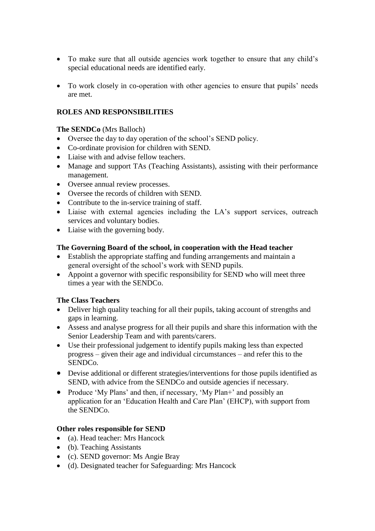- To make sure that all outside agencies work together to ensure that any child's special educational needs are identified early.
- To work closely in co-operation with other agencies to ensure that pupils' needs are met.

# **ROLES AND RESPONSIBILITIES**

#### **The SENDCo** (Mrs Balloch)

- Oversee the day to day operation of the school's SEND policy.
- Co-ordinate provision for children with SEND.
- Liaise with and advise fellow teachers.
- Manage and support TAs (Teaching Assistants), assisting with their performance management.
- Oversee annual review processes.
- Oversee the records of children with SEND.
- Contribute to the in-service training of staff.
- Liaise with external agencies including the LA's support services, outreach services and voluntary bodies.
- Liaise with the governing body.

# **The Governing Board of the school, in cooperation with the Head teacher**

- Establish the appropriate staffing and funding arrangements and maintain a general oversight of the school's work with SEND pupils.
- Appoint a governor with specific responsibility for SEND who will meet three times a year with the SENDCo.

# **The Class Teachers**

- Deliver high quality teaching for all their pupils, taking account of strengths and gaps in learning.
- Assess and analyse progress for all their pupils and share this information with the Senior Leadership Team and with parents/carers.
- Use their professional judgement to identify pupils making less than expected progress – given their age and individual circumstances – and refer this to the SENDCo.
- Devise additional or different strategies/interventions for those pupils identified as SEND, with advice from the SENDCo and outside agencies if necessary.
- Produce 'My Plans' and then, if necessary, 'My Plan+' and possibly an application for an 'Education Health and Care Plan' (EHCP), with support from the SENDCo.

# **Other roles responsible for SEND**

- (a). Head teacher: Mrs Hancock
- (b). Teaching Assistants
- (c). SEND governor: Ms Angie Bray
- (d). Designated teacher for Safeguarding: Mrs Hancock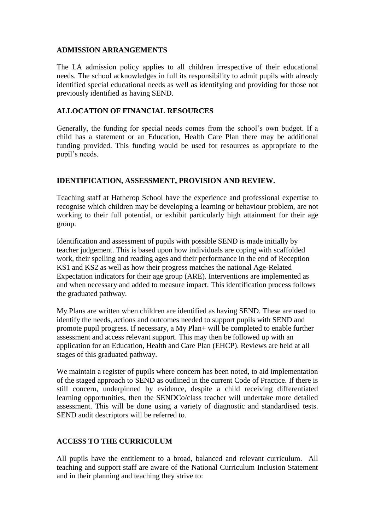#### **ADMISSION ARRANGEMENTS**

The LA admission policy applies to all children irrespective of their educational needs. The school acknowledges in full its responsibility to admit pupils with already identified special educational needs as well as identifying and providing for those not previously identified as having SEND.

#### **ALLOCATION OF FINANCIAL RESOURCES**

Generally, the funding for special needs comes from the school's own budget. If a child has a statement or an Education, Health Care Plan there may be additional funding provided. This funding would be used for resources as appropriate to the pupil's needs.

#### **IDENTIFICATION, ASSESSMENT, PROVISION AND REVIEW.**

Teaching staff at Hatherop School have the experience and professional expertise to recognise which children may be developing a learning or behaviour problem, are not working to their full potential, or exhibit particularly high attainment for their age group.

Identification and assessment of pupils with possible SEND is made initially by teacher judgement. This is based upon how individuals are coping with scaffolded work, their spelling and reading ages and their performance in the end of Reception KS1 and KS2 as well as how their progress matches the national Age-Related Expectation indicators for their age group (ARE). Interventions are implemented as and when necessary and added to measure impact. This identification process follows the graduated pathway.

My Plans are written when children are identified as having SEND. These are used to identify the needs, actions and outcomes needed to support pupils with SEND and promote pupil progress. If necessary, a My Plan+ will be completed to enable further assessment and access relevant support. This may then be followed up with an application for an Education, Health and Care Plan (EHCP). Reviews are held at all stages of this graduated pathway.

We maintain a register of pupils where concern has been noted, to aid implementation of the staged approach to SEND as outlined in the current Code of Practice. If there is still concern, underpinned by evidence, despite a child receiving differentiated learning opportunities, then the SENDCo/class teacher will undertake more detailed assessment. This will be done using a variety of diagnostic and standardised tests. SEND audit descriptors will be referred to.

# **ACCESS TO THE CURRICULUM**

All pupils have the entitlement to a broad, balanced and relevant curriculum. All teaching and support staff are aware of the National Curriculum Inclusion Statement and in their planning and teaching they strive to: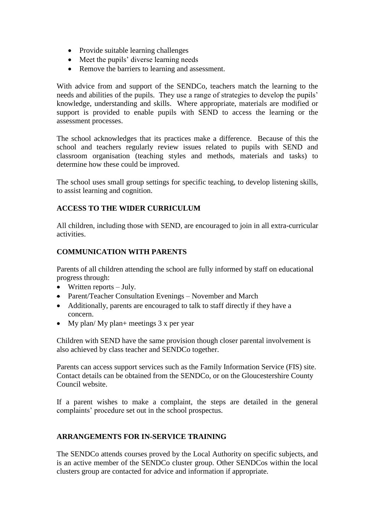- Provide suitable learning challenges
- Meet the pupils' diverse learning needs
- Remove the barriers to learning and assessment.

With advice from and support of the SENDCo, teachers match the learning to the needs and abilities of the pupils. They use a range of strategies to develop the pupils' knowledge, understanding and skills. Where appropriate, materials are modified or support is provided to enable pupils with SEND to access the learning or the assessment processes.

The school acknowledges that its practices make a difference. Because of this the school and teachers regularly review issues related to pupils with SEND and classroom organisation (teaching styles and methods, materials and tasks) to determine how these could be improved.

The school uses small group settings for specific teaching, to develop listening skills, to assist learning and cognition.

# **ACCESS TO THE WIDER CURRICULUM**

All children, including those with SEND, are encouraged to join in all extra-curricular activities.

# **COMMUNICATION WITH PARENTS**

Parents of all children attending the school are fully informed by staff on educational progress through:

- $\bullet$  Written reports July.
- Parent/Teacher Consultation Evenings November and March
- Additionally, parents are encouraged to talk to staff directly if they have a concern.
- My plan/ My plan+ meetings  $3 \times$  per year

Children with SEND have the same provision though closer parental involvement is also achieved by class teacher and SENDCo together.

Parents can access support services such as the Family Information Service (FIS) site. Contact details can be obtained from the SENDCo, or on the Gloucestershire County Council website.

If a parent wishes to make a complaint, the steps are detailed in the general complaints' procedure set out in the school prospectus.

# **ARRANGEMENTS FOR IN-SERVICE TRAINING**

The SENDCo attends courses proved by the Local Authority on specific subjects, and is an active member of the SENDCo cluster group. Other SENDCos within the local clusters group are contacted for advice and information if appropriate.